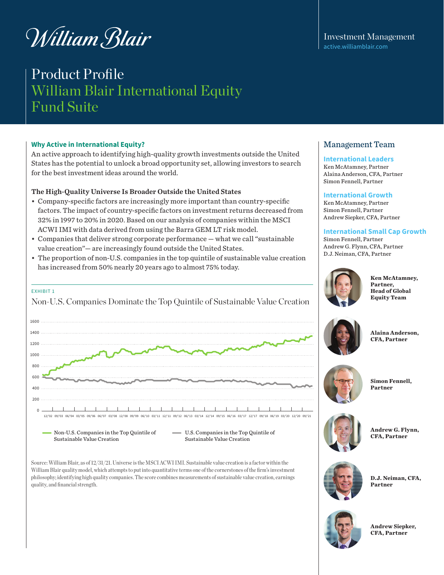# William Blair

# Product Profile William Blair International Equity Fund Suite

# **Why Active in International Equity?**

An active approach to identifying high-quality growth investments outside the United States has the potential to unlock a broad opportunity set, allowing investors to search for the best investment ideas around the world.

# The High-Quality Universe Is Broader Outside the United States

- Company-specific factors are increasingly more important than country-specific factors. The impact of country-specific factors on investment returns decreased from 32% in 1997 to 20% in 2020. Based on our analysis of companies within the MSCI ACWI IMI with data derived from using the Barra GEM LT risk model.
- Companies that deliver strong corporate performance what we call "sustainable value creation"— are increasingly found outside the United States.
- The proportion of non-U.S. companies in the top quintile of sustainable value creation has increased from 50% nearly 20 years ago to almost 75% today.

# EXHIBIT 1



Source: William Blair, as of 12/31/21. Universe is the MSCI ACWI IMI. Sustainable value creation is a factor within the William Blair quality model, which attempts to put into quantitative terms one of the cornerstones of the firm's investment philosophy; identifying high quality companies. The score combines measurements of sustainable value creation, earnings quality, and financial strength.

Investment Management [active.williamblair.com](http://active.williamblair.com)

# Management Team

### **International Leaders**

Ken McAtamney, Partner Alaina Anderson, CFA, Partner Simon Fennell, Partner

### **International Growth**

Ken McAtamney, Partner Simon Fennell, Partner Andrew Siepker, CFA, Partner

# **International Small Cap Growth**

Simon Fennell, Partner Andrew G. Flynn, CFA, Partner D.J. Neiman, CFA, Partner



**Ken McAtamney, Partner, Head of Global Equity Team**



**Alaina Anderson, CFA, Partner**



**Simon Fennell,** 



**Andrew G. Flynn, CFA, Partner**



**D.J. Neiman, CFA, Partner**



**Andrew Siepker, CFA, Partner**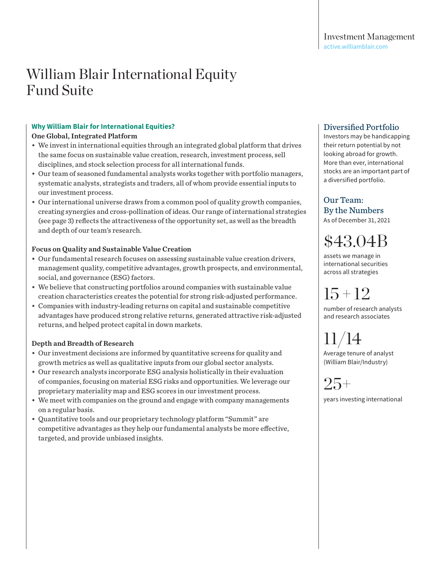# **Why William Blair for International Equities?**

# One Global, Integrated Platform

- We invest in international equities through an integrated global platform that drives the same focus on sustainable value creation, research, investment process, sell disciplines, and stock selection process for all international funds.
- Our team of seasoned fundamental analysts works together with portfolio managers, systematic analysts, strategists and traders, all of whom provide essential inputs to our investment process.
- Our international universe draws from a common pool of quality growth companies, creating synergies and cross-pollination of ideas. Our range of international strategies (see page 3) reflects the attractiveness of the opportunity set, as well as the breadth and depth of our team's research.

# Focus on Quality and Sustainable Value Creation

- Our fundamental research focuses on assessing sustainable value creation drivers, management quality, competitive advantages, growth prospects, and environmental, social, and governance (ESG) factors.
- We believe that constructing portfolios around companies with sustainable value creation characteristics creates the potential for strong risk-adjusted performance.
- Companies with industry-leading returns on capital and sustainable competitive advantages have produced strong relative returns, generated attractive risk-adjusted returns, and helped protect capital in down markets.

# Depth and Breadth of Research

- Our investment decisions are informed by quantitative screens for quality and growth metrics as well as qualitative inputs from our global sector analysts.
- Our research analysts incorporate ESG analysis holistically in their evaluation of companies, focusing on material ESG risks and opportunities. We leverage our proprietary materiality map and ESG scores in our investment process.
- We meet with companies on the ground and engage with company managements on a regular basis.
- Quantitative tools and our proprietary technology platform "Summit" are competitive advantages as they help our fundamental analysts be more effective, targeted, and provide unbiased insights.

# Diversified Portfolio

Investors may be handicapping their return potential by not looking abroad for growth. More than ever, international stocks are an important part of a diversified portfolio.

Our Team: By the Numbers As of December 31, 2021

\$43.04B

assets we manage in international securities across all strategies

15 + 12

number of research analysts and research associates

11/14 Average tenure of analyst

(William Blair/Industry)

# 25+

years investing international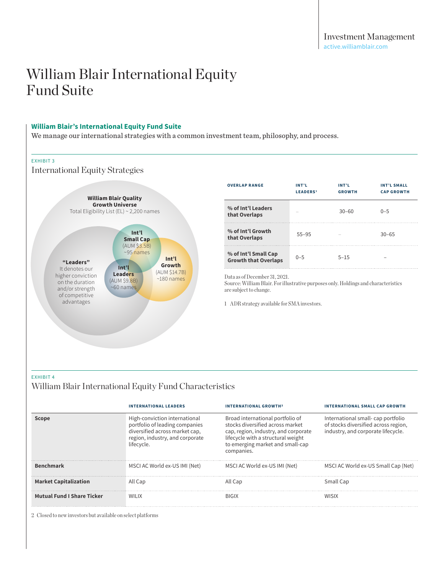### **William Blair's International Equity Fund Suite**

We manage our international strategies with a common investment team, philosophy, and process.

#### EXHIBIT 3

International Equity Strategies



| <b>OVERLAP RANGE</b>                                | INT'L<br><b>LEADERS1</b> | INT'L<br><b>GROWTH</b> | <b>INT'L SMALL</b><br><b>CAP GROWTH</b> |
|-----------------------------------------------------|--------------------------|------------------------|-----------------------------------------|
| % of Int'l Leaders<br>that Overlaps                 |                          | $30 - 60$              | $0 - 5$                                 |
| % of Int'l Growth<br>that Overlaps                  | 55-95                    |                        | $30 - 65$                               |
| % of Int'l Small Cap<br><b>Growth that Overlaps</b> | $0 - 5$                  | $5 - 15$               |                                         |

Data as of December 31, 2021.

Source: William Blair. For illustrative purposes only. Holdings and characteristics are subject to change.

1 ADR strategy available for SMA investors.

# EXHIBIT 4

# William Blair International Equity Fund Characteristics

|                                   | <b>INTERNATIONAL LEADERS</b>                                                                                                                       | <b>INTERNATIONAL GROWTH2</b>                                                                                                                                                                         | <b>INTERNATIONAL SMALL CAP GROWTH</b>                                                                           |
|-----------------------------------|----------------------------------------------------------------------------------------------------------------------------------------------------|------------------------------------------------------------------------------------------------------------------------------------------------------------------------------------------------------|-----------------------------------------------------------------------------------------------------------------|
| <b>Scope</b>                      | High-conviction international<br>portfolio of leading companies<br>diversified across market cap,<br>region, industry, and corporate<br>lifecycle. | Broad international portfolio of<br>stocks diversified across market<br>cap, region, industry, and corporate<br>lifecycle with a structural weight<br>to emerging market and small-cap<br>companies. | International small-cap portfolio<br>of stocks diversified across region,<br>industry, and corporate lifecycle. |
| <b>Benchmark</b>                  | MSCI AC World ex-US IMI (Net)                                                                                                                      | MSCI AC World ex-US IMI (Net)                                                                                                                                                                        | MSCI AC World ex-US Small Cap (Net)                                                                             |
| <b>Market Capitalization</b>      | All Cap                                                                                                                                            | All Cap                                                                                                                                                                                              | Small Cap                                                                                                       |
| <b>Mutual Fund I Share Ticker</b> | WILIX                                                                                                                                              | <b>BIGIX</b>                                                                                                                                                                                         | <b>WISIX</b>                                                                                                    |

2 Closed to new investors but available on select platforms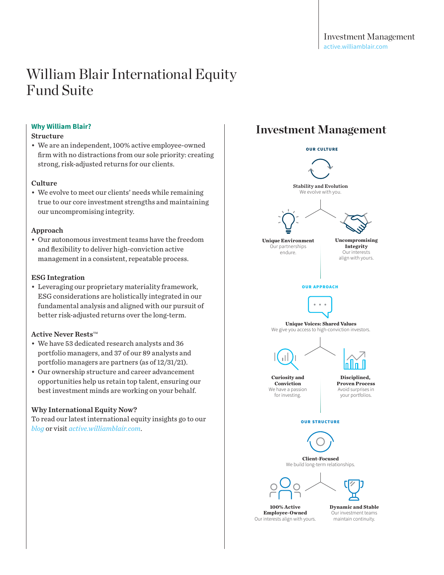# **Why William Blair?**

### Structure

• We are an independent, 100% active employee-owned firm with no distractions from our sole priority: creating strong, risk-adjusted returns for our clients.

#### Culture

• We evolve to meet our clients' needs while remaining true to our core investment strengths and maintaining our uncompromising integrity.

### Approach

• Our autonomous investment teams have the freedom and flexibility to deliver high-conviction active management in a consistent, repeatable process.

# ESG Integration

• Leveraging our proprietary materiality framework, ESG considerations are holistically integrated in our fundamental analysis and aligned with our pursuit of better risk-adjusted returns over the long-term.

# Active Never Rests $TM$

- We have 53 dedicated research analysts and 36 portfolio managers, and 37 of our 89 analysts and portfolio managers are partners (as of 12/31/21).
- Our ownership structure and career advancement opportunities help us retain top talent, ensuring our best investment minds are working on your behalf.

# Why International Equity Now?

To read our latest international equity insights go to ou[r](https://active.williamblair.com/category/global-equity/) *[blog](https://active.williamblair.com/category/global-equity/)* or visit *[active.williamblair.com](http://active.williamblair.com)*.

# **Investment Management**



**100% Active Employee-Owned** Our interests align with yours. **Dynamic and Stable** Our investment teams maintain continuity.